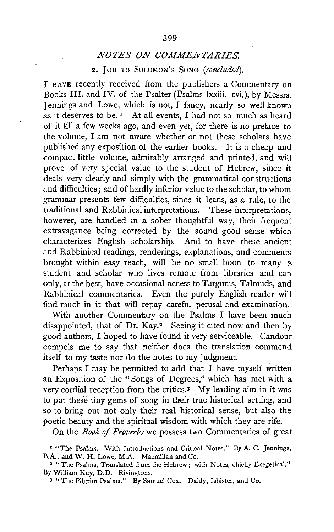2. JoB TO SOLOMON's SoNG *(concluded).* 

I HAVE recently received from the publishers a Commentary on Books IlL and IV. of the Psalter (Psalms lxxiii.-cvi. ), by Messrs. Tennings and Lowe, which is not, I fancy, nearly so well known as it deserves to be.<sup> $x$ </sup> At all events, I had not so much as heard of it till a few weeks ago, and even yet, for there is no preface to the volume, I am not aware whether or not these scholars have published any exposition of the earlier books. It is a cheap and compact little volume, admirably arranged and printed, and will prove of very special value to the student of Hebrew, since it deals very clearly and simply with the grammatical constructions and difficulties; and of hardly inferior value to the scholar, to whom grammar presents few difficulties, since it leans, as a rule, to the traditional and Rabbinical interpretations. These interpretations, however, are handled in a sober thoughtful way, their frequent extravagance being corrected by the sound good sense which characterizes English scholarship. And to have these ancient and Rabbinical readings, renderings, explanations, and comments brought within easy reach, will be no small boon to many a student and scholar who lives remote from libraries and can only, at the best, have occasional access to Targums, Talmuds, and Rabbinical commentaries. Even the purely English reader will find much in it that will repay careful perusal and examination.

With another Commentary on the Psalms I have been much disappointed, that of Dr. Kay.<sup>2</sup> Seeing it cited now and then by good authors, I hoped to have found it very serviceable. Candour compels me to say that neither does the translation commend itself to my taste nor do the notes to my judgment.

Perhaps I may be permitted to add that I have myself written an Exposition of the "Songs of Degrees," which has met with a very cordial reception from the critics.3 My leading aim in it was to put these tiny gems of song in their true historical setting, and so to bring out not only their real historical sense, but also the poetic beauty and the spiritual wisdom with which they are rife.

On the *Book* of *Proverbs* we possess two Commentaries of great

<sup>&</sup>lt;sup>I</sup> "The Psalms. With Introductions and Critical Notes." By A. C. Jennings, B.A., and W. H. Lowe, M.A. Macmillan and Co.

<sup>&</sup>lt;sup>2</sup> "The Psalms, Translated from the Hebrew; with Notes, chiefly Exegetical." By William Kay, D.D. Rivingtons.

<sup>&</sup>lt;sup>3</sup> "The Pilgrim Psalms." By Samuel Cox. Daldy, Isbister, and Co.